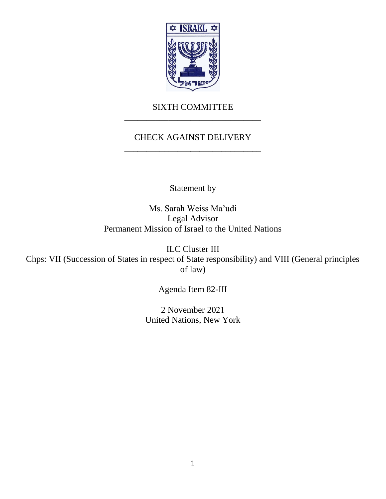

## SIXTH COMMITTEE \_\_\_\_\_\_\_\_\_\_\_\_\_\_\_\_\_\_\_\_\_\_\_\_\_\_\_\_\_\_\_

# CHECK AGAINST DELIVERY \_\_\_\_\_\_\_\_\_\_\_\_\_\_\_\_\_\_\_\_\_\_\_\_\_\_\_\_\_\_\_

Statement by

Ms. Sarah Weiss Ma'udi Legal Advisor Permanent Mission of Israel to the United Nations

ILC Cluster III Chps: VII (Succession of States in respect of State responsibility) and VIII (General principles of law)

Agenda Item 82-III

2 November 2021 United Nations, New York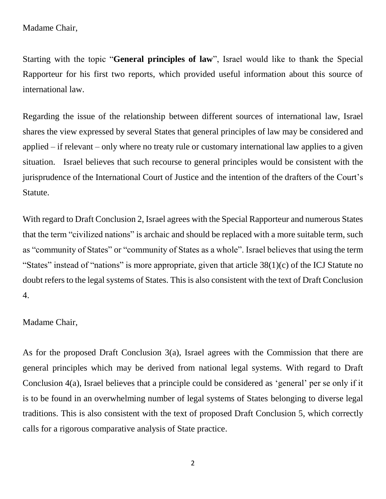Madame Chair,

Starting with the topic "**General principles of law**", Israel would like to thank the Special Rapporteur for his first two reports, which provided useful information about this source of international law.

Regarding the issue of the relationship between different sources of international law, Israel shares the view expressed by several States that general principles of law may be considered and applied – if relevant – only where no treaty rule or customary international law applies to a given situation. Israel believes that such recourse to general principles would be consistent with the jurisprudence of the International Court of Justice and the intention of the drafters of the Court's Statute.

With regard to Draft Conclusion 2, Israel agrees with the Special Rapporteur and numerous States that the term "civilized nations" is archaic and should be replaced with a more suitable term, such as "community of States" or "community of States as a whole". Israel believes that using the term "States" instead of "nations" is more appropriate, given that article 38(1)(c) of the ICJ Statute no doubt refers to the legal systems of States. This is also consistent with the text of Draft Conclusion 4.

#### Madame Chair,

As for the proposed Draft Conclusion 3(a), Israel agrees with the Commission that there are general principles which may be derived from national legal systems. With regard to Draft Conclusion 4(a), Israel believes that a principle could be considered as 'general' per se only if it is to be found in an overwhelming number of legal systems of States belonging to diverse legal traditions. This is also consistent with the text of proposed Draft Conclusion 5, which correctly calls for a rigorous comparative analysis of State practice.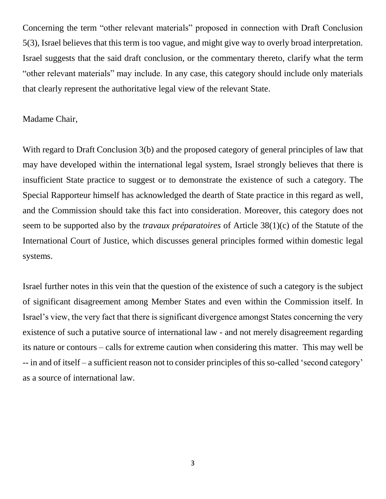Concerning the term "other relevant materials" proposed in connection with Draft Conclusion 5(3), Israel believes that this term is too vague, and might give way to overly broad interpretation. Israel suggests that the said draft conclusion, or the commentary thereto, clarify what the term "other relevant materials" may include. In any case, this category should include only materials that clearly represent the authoritative legal view of the relevant State.

#### Madame Chair,

With regard to Draft Conclusion 3(b) and the proposed category of general principles of law that may have developed within the international legal system, Israel strongly believes that there is insufficient State practice to suggest or to demonstrate the existence of such a category. The Special Rapporteur himself has acknowledged the dearth of State practice in this regard as well, and the Commission should take this fact into consideration. Moreover, this category does not seem to be supported also by the *travaux préparatoires* of Article 38(1)(c) of the Statute of the International Court of Justice, which discusses general principles formed within domestic legal systems.

Israel further notes in this vein that the question of the existence of such a category is the subject of significant disagreement among Member States and even within the Commission itself. In Israel's view, the very fact that there is significant divergence amongst States concerning the very existence of such a putative source of international law - and not merely disagreement regarding its nature or contours – calls for extreme caution when considering this matter. This may well be -- in and of itself – a sufficient reason not to consider principles of this so-called 'second category' as a source of international law.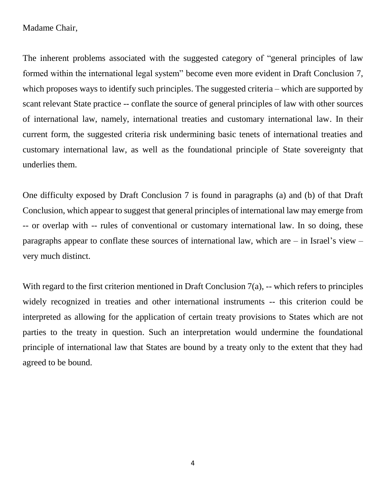#### Madame Chair,

The inherent problems associated with the suggested category of "general principles of law formed within the international legal system" become even more evident in Draft Conclusion 7, which proposes ways to identify such principles. The suggested criteria – which are supported by scant relevant State practice -- conflate the source of general principles of law with other sources of international law, namely, international treaties and customary international law. In their current form, the suggested criteria risk undermining basic tenets of international treaties and customary international law, as well as the foundational principle of State sovereignty that underlies them.

One difficulty exposed by Draft Conclusion 7 is found in paragraphs (a) and (b) of that Draft Conclusion, which appear to suggest that general principles of international law may emerge from -- or overlap with -- rules of conventional or customary international law. In so doing, these paragraphs appear to conflate these sources of international law, which are – in Israel's view – very much distinct.

With regard to the first criterion mentioned in Draft Conclusion 7(a), -- which refers to principles widely recognized in treaties and other international instruments -- this criterion could be interpreted as allowing for the application of certain treaty provisions to States which are not parties to the treaty in question. Such an interpretation would undermine the foundational principle of international law that States are bound by a treaty only to the extent that they had agreed to be bound.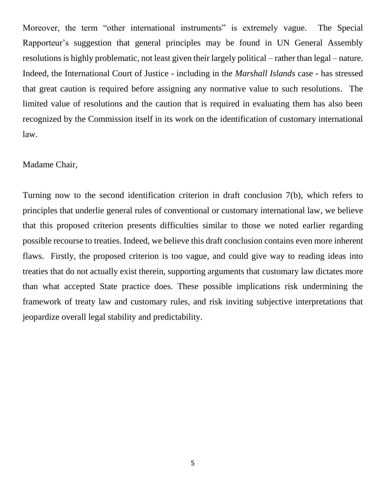Moreover, the term "other international instruments" is extremely vague. The Special Rapporteur's suggestion that general principles may be found in UN General Assembly resolutions is highly problematic, not least given their largely political – rather than legal – nature. Indeed, the International Court of Justice - including in the *Marshall Islands* case - has stressed that great caution is required before assigning any normative value to such resolutions. The limited value of resolutions and the caution that is required in evaluating them has also been recognized by the Commission itself in its work on the identification of customary international law.

#### Madame Chair,

Turning now to the second identification criterion in draft conclusion 7(b), which refers to principles that underlie general rules of conventional or customary international law, we believe that this proposed criterion presents difficulties similar to those we noted earlier regarding possible recourse to treaties. Indeed, we believe this draft conclusion contains even more inherent flaws. Firstly, the proposed criterion is too vague, and could give way to reading ideas into treaties that do not actually exist therein, supporting arguments that customary law dictates more than what accepted State practice does. These possible implications risk undermining the framework of treaty law and customary rules, and risk inviting subjective interpretations that jeopardize overall legal stability and predictability.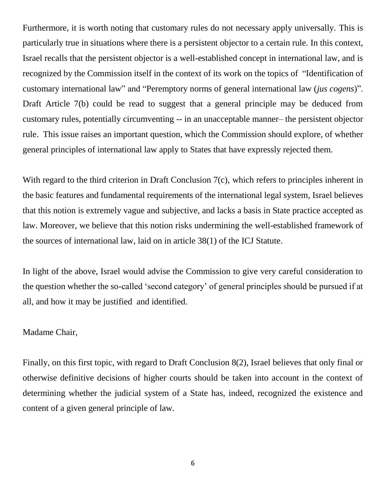Furthermore, it is worth noting that customary rules do not necessary apply universally. This is particularly true in situations where there is a persistent objector to a certain rule. In this context, Israel recalls that the persistent objector is a well-established concept in international law, and is recognized by the Commission itself in the context of its work on the topics of "Identification of customary international law" and "Peremptory norms of general international law (*jus cogens*)". Draft Article 7(b) could be read to suggest that a general principle may be deduced from customary rules, potentially circumventing -- in an unacceptable manner– the persistent objector rule. This issue raises an important question, which the Commission should explore, of whether general principles of international law apply to States that have expressly rejected them.

With regard to the third criterion in Draft Conclusion 7(c), which refers to principles inherent in the basic features and fundamental requirements of the international legal system, Israel believes that this notion is extremely vague and subjective, and lacks a basis in State practice accepted as law. Moreover, we believe that this notion risks undermining the well-established framework of the sources of international law, laid on in article 38(1) of the ICJ Statute.

In light of the above, Israel would advise the Commission to give very careful consideration to the question whether the so-called 'second category' of general principles should be pursued if at all, and how it may be justified and identified.

### Madame Chair,

Finally, on this first topic, with regard to Draft Conclusion 8(2), Israel believes that only final or otherwise definitive decisions of higher courts should be taken into account in the context of determining whether the judicial system of a State has, indeed, recognized the existence and content of a given general principle of law.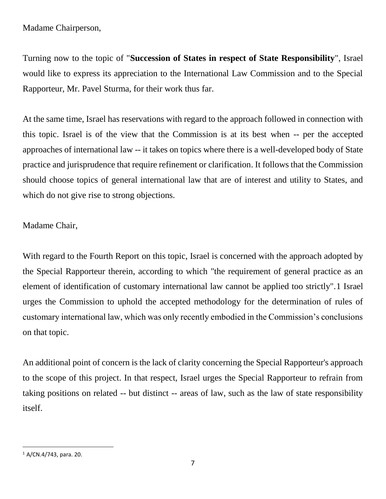Madame Chairperson,

Turning now to the topic of "**Succession of States in respect of State Responsibility**", Israel would like to express its appreciation to the International Law Commission and to the Special Rapporteur, Mr. Pavel Sturma, for their work thus far.

At the same time, Israel has reservations with regard to the approach followed in connection with this topic. Israel is of the view that the Commission is at its best when -- per the accepted approaches of international law -- it takes on topics where there is a well-developed body of State practice and jurisprudence that require refinement or clarification. It follows that the Commission should choose topics of general international law that are of interest and utility to States, and which do not give rise to strong objections.

Madame Chair,

With regard to the Fourth Report on this topic, Israel is concerned with the approach adopted by the Special Rapporteur therein, according to which "the requirement of general practice as an element of identification of customary international law cannot be applied too strictly".1 Israel urges the Commission to uphold the accepted methodology for the determination of rules of customary international law, which was only recently embodied in the Commission's conclusions on that topic.

An additional point of concern is the lack of clarity concerning the Special Rapporteur's approach to the scope of this project. In that respect, Israel urges the Special Rapporteur to refrain from taking positions on related -- but distinct -- areas of law, such as the law of state responsibility itself.

 $\overline{a}$  $1$  A/CN.4/743, para. 20.